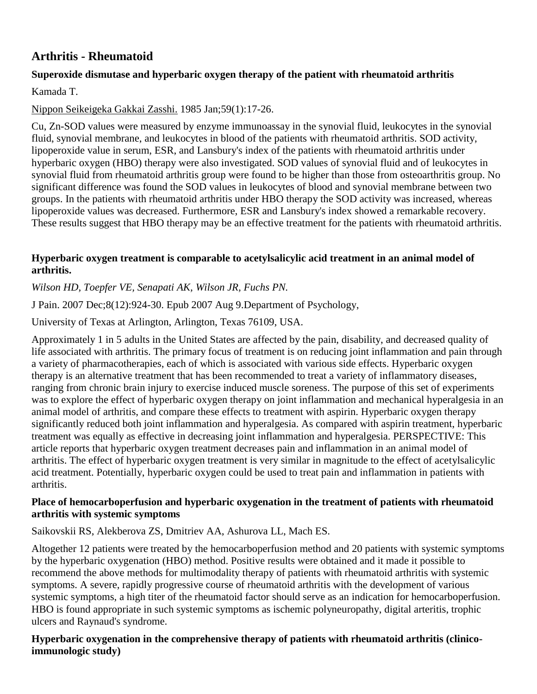# **Arthritis - Rheumatoid**

# **Superoxide dismutase and hyperbaric oxygen therapy of the patient with rheumatoid arthritis**

[Kamada T.](http://www.ncbi.nlm.nih.gov/entrez/query.fcgi?db=pubmed&cmd=Search&itool=pubmed_AbstractPlus&term=%22Kamada+T%22%5BAuthor%5D)

## [Nippon Seikeigeka Gakkai Zasshi.](javascript:AL_get(this,%20) 1985 Jan;59(1):17-26.

Cu, Zn-SOD values were measured by enzyme immunoassay in the synovial fluid, leukocytes in the synovial fluid, synovial membrane, and leukocytes in blood of the patients with rheumatoid arthritis. SOD activity, lipoperoxide value in serum, ESR, and Lansbury's index of the patients with rheumatoid arthritis under hyperbaric oxygen (HBO) therapy were also investigated. SOD values of synovial fluid and of leukocytes in synovial fluid from rheumatoid arthritis group were found to be higher than those from osteoarthritis group. No significant difference was found the SOD values in leukocytes of blood and synovial membrane between two groups. In the patients with rheumatoid arthritis under HBO therapy the SOD activity was increased, whereas lipoperoxide values was decreased. Furthermore, ESR and Lansbury's index showed a remarkable recovery. These results suggest that HBO therapy may be an effective treatment for the patients with rheumatoid arthritis.

#### **Hyperbaric oxygen treatment is comparable to acetylsalicylic acid treatment in an animal model of arthritis.**

*[Wilson HD,](http://www.ncbi.nlm.nih.gov/sites/entrez?Db=pubmed&Cmd=Search&Term=%22Wilson%20HD%22%5BAuthor%5D&itool=EntrezSystem2.PEntrez.Pubmed.Pubmed_ResultsPanel.Pubmed_DiscoveryPanel.Pubmed_RVAbstractPlus) [Toepfer VE,](http://www.ncbi.nlm.nih.gov/sites/entrez?Db=pubmed&Cmd=Search&Term=%22Toepfer%20VE%22%5BAuthor%5D&itool=EntrezSystem2.PEntrez.Pubmed.Pubmed_ResultsPanel.Pubmed_DiscoveryPanel.Pubmed_RVAbstractPlus) [Senapati AK,](http://www.ncbi.nlm.nih.gov/sites/entrez?Db=pubmed&Cmd=Search&Term=%22Senapati%20AK%22%5BAuthor%5D&itool=EntrezSystem2.PEntrez.Pubmed.Pubmed_ResultsPanel.Pubmed_DiscoveryPanel.Pubmed_RVAbstractPlus) [Wilson JR,](http://www.ncbi.nlm.nih.gov/sites/entrez?Db=pubmed&Cmd=Search&Term=%22Wilson%20JR%22%5BAuthor%5D&itool=EntrezSystem2.PEntrez.Pubmed.Pubmed_ResultsPanel.Pubmed_DiscoveryPanel.Pubmed_RVAbstractPlus) [Fuchs PN.](http://www.ncbi.nlm.nih.gov/sites/entrez?Db=pubmed&Cmd=Search&Term=%22Fuchs%20PN%22%5BAuthor%5D&itool=EntrezSystem2.PEntrez.Pubmed.Pubmed_ResultsPanel.Pubmed_DiscoveryPanel.Pubmed_RVAbstractPlus)*

J Pain. 2007 Dec;8(12):924-30. Epub 2007 Aug 9.Department of Psychology,

University of Texas at Arlington, Arlington, Texas 76109, USA.

Approximately 1 in 5 adults in the United States are affected by the pain, disability, and decreased quality of life associated with arthritis. The primary focus of treatment is on reducing joint inflammation and pain through a variety of pharmacotherapies, each of which is associated with various side effects. Hyperbaric oxygen therapy is an alternative treatment that has been recommended to treat a variety of inflammatory diseases, ranging from chronic brain injury to exercise induced muscle soreness. The purpose of this set of experiments was to explore the effect of hyperbaric oxygen therapy on joint inflammation and mechanical hyperalgesia in an animal model of arthritis, and compare these effects to treatment with aspirin. Hyperbaric oxygen therapy significantly reduced both joint inflammation and hyperalgesia. As compared with aspirin treatment, hyperbaric treatment was equally as effective in decreasing joint inflammation and hyperalgesia. PERSPECTIVE: This article reports that hyperbaric oxygen treatment decreases pain and inflammation in an animal model of arthritis. The effect of hyperbaric oxygen treatment is very similar in magnitude to the effect of acetylsalicylic acid treatment. Potentially, hyperbaric oxygen could be used to treat pain and inflammation in patients with arthritis.

### **Place of hemocarboperfusion and hyperbaric oxygenation in the treatment of patients with rheumatoid arthritis with systemic symptoms**

Saikovskii RS, Alekberova ZS, Dmitriev AA, Ashurova LL, Mach ES.

Altogether 12 patients were treated by the hemocarboperfusion method and 20 patients with systemic symptoms by the hyperbaric oxygenation (HBO) method. Positive results were obtained and it made it possible to recommend the above methods for multimodality therapy of patients with rheumatoid arthritis with systemic symptoms. A severe, rapidly progressive course of rheumatoid arthritis with the development of various systemic symptoms, a high titer of the rheumatoid factor should serve as an indication for hemocarboperfusion. HBO is found appropriate in such systemic symptoms as ischemic polyneuropathy, digital arteritis, trophic ulcers and Raynaud's syndrome.

### **Hyperbaric oxygenation in the comprehensive therapy of patients with rheumatoid arthritis (clinicoimmunologic study)**